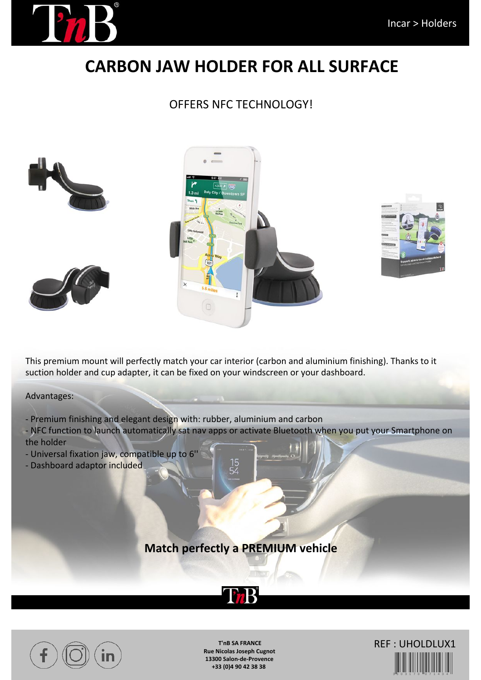

# **CARBON JAW HOLDER FOR ALL SURFACE**

#### OFFERS NFC TECHNOLOGY!





This premium mount will perfectly match your car interior (carbon and aluminium finishing). Thanks to it suction holder and cup adapter, it can be fixed on your windscreen or your dashboard.

Advantages:

- Premium finishing and elegant design with: rubber, aluminium and carbon
- NFC function to launch automatically sat nav apps or activate Bluetooth when you put your Smartphone on the holder
- Universal fixation jaw, compatible up to 6''
- Dashboard adaptor included

### **Match perfectly a PREMIUM vehicle**

**EnB** 



**T'nB SA FRANCE Rue Nicolas Joseph Cugnot 13300 Salon-de-Provence +33 (0)4 90 42 38 38**